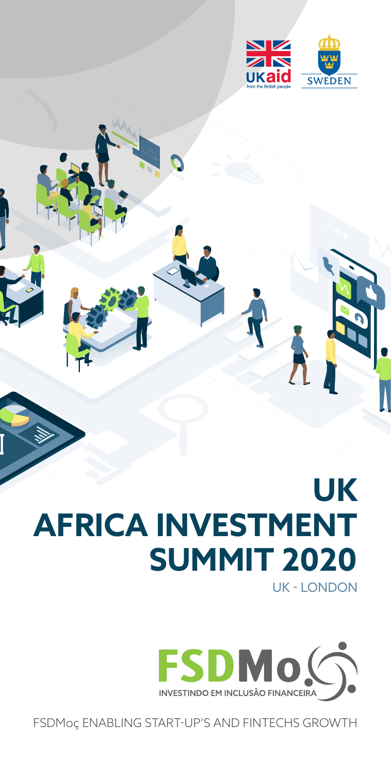

## **UK AFRICA INVESTMENT SUMMIT 2020** UK - LONDON



FSDMoç ENABLING START-UP'S AND FINTECHS GROWTH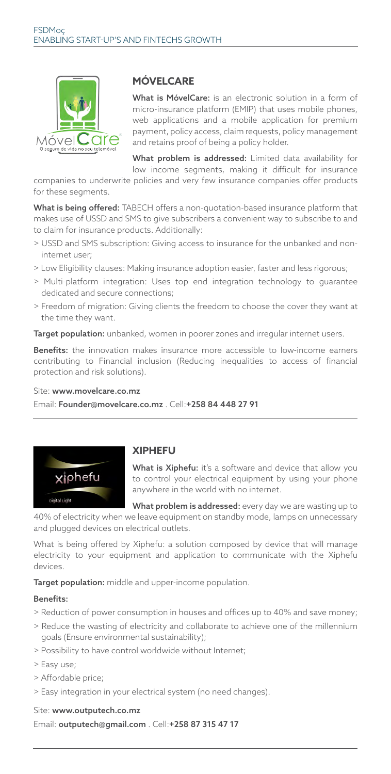

## **MÓVELCARE**

What is MóvelCare: is an electronic solution in a form of micro-insurance platform (EMIP) that uses mobile phones, web applications and a mobile application for premium payment, policy access, claim requests, policy management and retains proof of being a policy holder.

What problem is addressed: Limited data availability for low income segments, making it difficult for insurance

companies to underwrite policies and very few insurance companies offer products for these segments.

What is being offered: TABECH offers a non-quotation-based insurance platform that makes use of USSD and SMS to give subscribers a convenient way to subscribe to and to claim for insurance products. Additionally:

- > USSD and SMS subscription: Giving access to insurance for the unbanked and noninternet user;
- > Low Eligibility clauses: Making insurance adoption easier, faster and less rigorous;
- > Multi-platform integration: Uses top end integration technology to guarantee dedicated and secure connections;
- > Freedom of migration: Giving clients the freedom to choose the cover they want at the time they want.

Target population: unbanked, women in poorer zones and irregular internet users.

Benefits: the innovation makes insurance more accessible to low-income earners contributing to Financial inclusion (Reducing inequalities to access of financial protection and risk solutions).

#### Site: www.movelcare.co.mz

Email: Founder@movelcare.co.mz . Cell:+258 84 448 27 91



## **XIPHEFU**

What is Xiphefu: it's a software and device that allow you to control your electrical equipment by using your phone anywhere in the world with no internet.

What problem is addressed: every day we are wasting up to

40% of electricity when we leave equipment on standby mode, lamps on unnecessary and plugged devices on electrical outlets.

What is being offered by Xiphefu: a solution composed by device that will manage electricity to your equipment and application to communicate with the Xiphefu devices.

Target population: middle and upper-income population.

#### Benefits:

- > Reduction of power consumption in houses and offices up to 40% and save money;
- > Reduce the wasting of electricity and collaborate to achieve one of the millennium goals (Ensure environmental sustainability);
- > Possibility to have control worldwide without Internet;
- > Easy use;
- > Affordable price;
- > Easy integration in your electrical system (no need changes).

#### Site: www.outputech.co.mz

Email: outputech@gmail.com . Cell:+258 87 315 47 17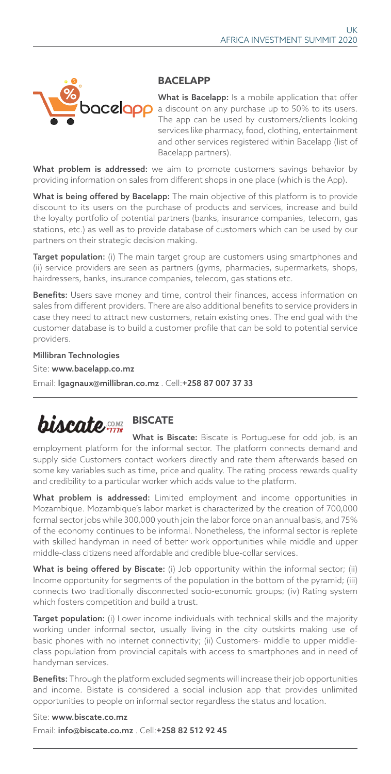

### **BACELAPP**

What is Bacelapp: Is a mobile application that offer a discount on any purchase up to 50% to its users. The app can be used by customers/clients looking services like pharmacy, food, clothing, entertainment and other services registered within Bacelapp (list of Bacelapp partners).

What problem is addressed: we aim to promote customers savings behavior by providing information on sales from different shops in one place (which is the App).

What is being offered by Bacelapp: The main objective of this platform is to provide discount to its users on the purchase of products and services, increase and build the loyalty portfolio of potential partners (banks, insurance companies, telecom, gas stations, etc.) as well as to provide database of customers which can be used by our partners on their strategic decision making.

Target population: (i) The main target group are customers using smartphones and (ii) service providers are seen as partners (gyms, pharmacies, supermarkets, shops, hairdressers, banks, insurance companies, telecom, gas stations etc.

Benefits: Users save money and time, control their finances, access information on sales from different providers. There are also additional benefits to service providers in case they need to attract new customers, retain existing ones. The end goal with the customer database is to build a customer profile that can be sold to potential service providers.

Millibran Technologies Site: www.bacelapp.co.mz Email: lgagnaux@millibran.co.mz . Cell:+258 87 007 37 33

## **biscate BISCATE**

What is Biscate: Biscate is Portuguese for odd job, is an employment platform for the informal sector. The platform connects demand and supply side Customers contact workers directly and rate them afterwards based on some key variables such as time, price and quality. The rating process rewards quality and credibility to a particular worker which adds value to the platform.

What problem is addressed: Limited employment and income opportunities in Mozambique. Mozambique's labor market is characterized by the creation of 700,000 formal sector jobs while 300,000 youth join the labor force on an annual basis, and 75% of the economy continues to be informal. Nonetheless, the informal sector is replete with skilled handyman in need of better work opportunities while middle and upper middle-class citizens need affordable and credible blue-collar services.

What is being offered by Biscate: (i) Job opportunity within the informal sector; (ii) Income opportunity for segments of the population in the bottom of the pyramid; (iii) connects two traditionally disconnected socio-economic groups; (iv) Rating system which fosters competition and build a trust.

Target population: (i) Lower income individuals with technical skills and the majority working under informal sector, usually living in the city outskirts making use of basic phones with no internet connectivity; (ii) Customers- middle to upper middleclass population from provincial capitals with access to smartphones and in need of handyman services.

Benefits: Through the platform excluded segments will increase their job opportunities and income. Bistate is considered a social inclusion app that provides unlimited opportunities to people on informal sector regardless the status and location.

Site: www.biscate.co.mz Email: info@biscate.co.mz . Cell:+258 82 512 92 45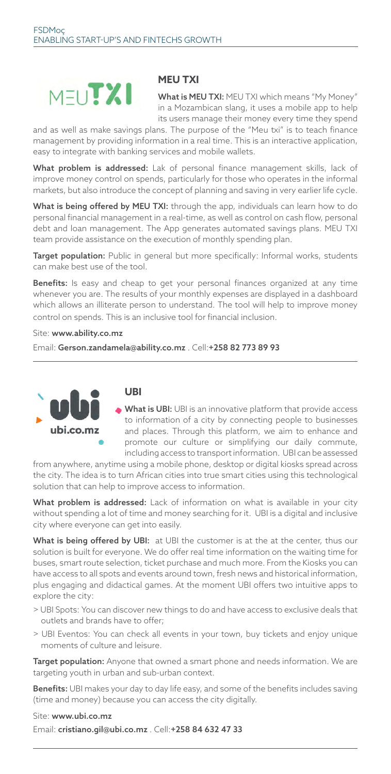# **MELITXI**

## **MEU TXI**

What is MEU TXI: MEU TXI which means "My Money" in a Mozambican slang, it uses a mobile app to help its users manage their money every time they spend

and as well as make savings plans. The purpose of the "Meu txi" is to teach finance management by providing information in a real time. This is an interactive application, easy to integrate with banking services and mobile wallets.

What problem is addressed: Lak of personal finance management skills, lack of improve money control on spends, particularly for those who operates in the informal markets, but also introduce the concept of planning and saving in very earlier life cycle.

What is being offered by MEU TXI: through the app, individuals can learn how to do personal financial management in a real-time, as well as control on cash flow, personal debt and loan management. The App generates automated savings plans. MEU TXI team provide assistance on the execution of monthly spending plan.

Target population: Public in general but more specifically: Informal works, students can make best use of the tool.

Benefits: Is easy and cheap to get your personal finances organized at any time whenever you are. The results of your monthly expenses are displayed in a dashboard which allows an illiterate person to understand. The tool will help to improve money control on spends. This is an inclusive tool for financial inclusion.

Site: www.ability.co.mz

Email: Gerson.zandamela@ability.co.mz . Cell:+258 82 773 89 93



#### **UBI**

What is UBI: UBI is an innovative platform that provide access to information of a city by connecting people to businesses and places. Through this platform, we aim to enhance and promote our culture or simplifying our daily commute, including access to transport information. UBI can be assessed

from anywhere, anytime using a mobile phone, desktop or digital kiosks spread across the city. The idea is to turn African cities into true smart cities using this technological solution that can help to improve access to information.

What problem is addressed: Lack of information on what is available in your city without spending a lot of time and money searching for it. UBI is a digital and inclusive city where everyone can get into easily.

What is being offered by UBI: at UBI the customer is at the at the center, thus our solution is built for everyone. We do offer real time information on the waiting time for buses, smart route selection, ticket purchase and much more. From the Kiosks you can have access to all spots and events around town, fresh news and historical information, plus engaging and didactical games. At the moment UBI offers two intuitive apps to explore the city:

- > UBI Spots: You can discover new things to do and have access to exclusive deals that outlets and brands have to offer;
- > UBI Eventos: You can check all events in your town, buy tickets and enjoy unique moments of culture and leisure.

Target population: Anyone that owned a smart phone and needs information. We are targeting youth in urban and sub-urban context.

Benefits: UBI makes your day to day life easy, and some of the benefits includes saving (time and money) because you can access the city digitally.

#### Site: www.ubi.co.mz

Email: cristiano.gil@ubi.co.mz . Cell:+258 84 632 47 33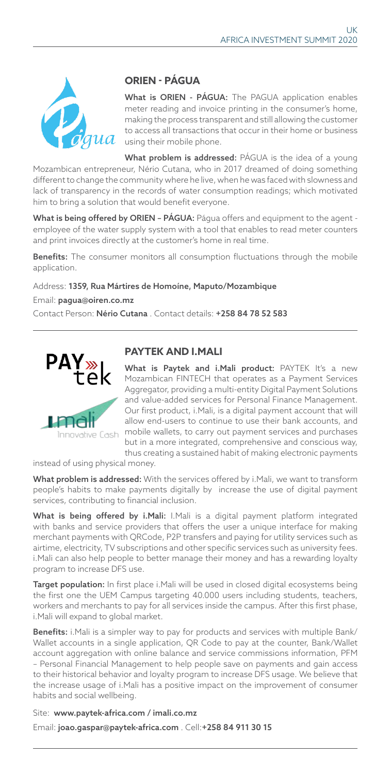

## **ORIEN - PÁGUA**

What is ORIEN - PÁGUA: The PAGUA application enables meter reading and invoice printing in the consumer's home, making the process transparent and still allowing the customer to access all transactions that occur in their home or business using their mobile phone.

What problem is addressed: PÁGUA is the idea of a young Mozambican entrepreneur, Nério Cutana, who in 2017 dreamed of doing something different to change the community where he live, when he was faced with slowness and lack of transparency in the records of water consumption readings; which motivated him to bring a solution that would benefit everyone.

What is being offered by ORIEN - PÁGUA: Págua offers and equipment to the agent employee of the water supply system with a tool that enables to read meter counters and print invoices directly at the customer's home in real time.

Benefits: The consumer monitors all consumption fluctuations through the mobile application.

#### Address: 1359, Rua Mártires de Homoíne, Maputo/Mozambique

Email: pagua@oiren.co.mz

Contact Person: Nério Cutana. Contact details: +258 84 78 52 583



## **PAYTEK AND I.MALI**

What is Paytek and i.Mali product: PAYTEK It's a new Mozambican FINTECH that operates as a Payment Services Aggregator, providing a multi-entity Digital Payment Solutions and value-added services for Personal Finance Management. Our first product, i.Mali, is a digital payment account that will allow end-users to continue to use their bank accounts, and mobile wallets, to carry out payment services and purchases but in a more integrated, comprehensive and conscious way, thus creating a sustained habit of making electronic payments

instead of using physical money.

What problem is addressed: With the services offered by i.Mali, we want to transform people's habits to make payments digitally by increase the use of digital payment services, contributing to financial inclusion.

What is being offered by i.Mali: I.Mali is a digital payment platform integrated with banks and service providers that offers the user a unique interface for making merchant payments with QRCode, P2P transfers and paying for utility services such as airtime, electricity, TV subscriptions and other specific services such as university fees. i.Mali can also help people to better manage their money and has a rewarding loyalty program to increase DFS use.

Target population: In first place i. Mali will be used in closed digital ecosystems being the first one the UEM Campus targeting 40.000 users including students, teachers, workers and merchants to pay for all services inside the campus. After this first phase, i.Mali will expand to global market.

Benefits: i.Mali is a simpler way to pay for products and services with multiple Bank/ Wallet accounts in a single application, QR Code to pay at the counter, Bank/Wallet account aggregation with online balance and service commissions information, PFM – Personal Financial Management to help people save on payments and gain access to their historical behavior and loyalty program to increase DFS usage. We believe that the increase usage of i.Mali has a positive impact on the improvement of consumer habits and social wellbeing.

Site: www.paytek-africa.com / imali.co.mz Email: joao.gaspar@paytek-africa.com . Cell:+258 84 911 30 15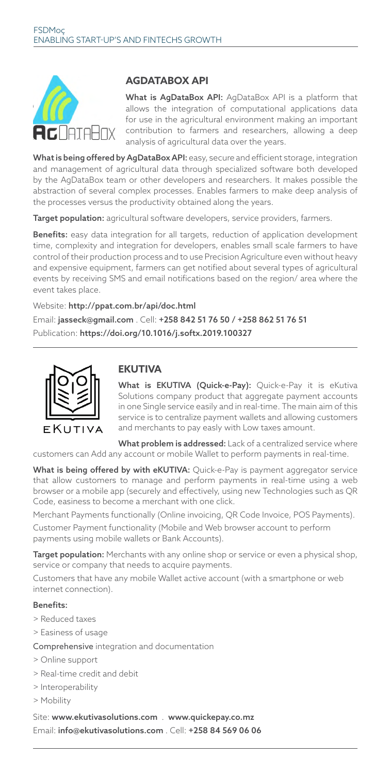

## **AGDATABOX API**

What is AgDataBox API: AgDataBox API is a platform that allows the integration of computational applications data for use in the agricultural environment making an important contribution to farmers and researchers, allowing a deep analysis of agricultural data over the years.

What is being offered by AgDataBox API: easy, secure and efficient storage, integration and management of agricultural data through specialized software both developed by the AgDataBox team or other developers and researchers. It makes possible the abstraction of several complex processes. Enables farmers to make deep analysis of the processes versus the productivity obtained along the years.

Target population: agricultural software developers, service providers, farmers.

Benefits: easy data integration for all targets, reduction of application development time, complexity and integration for developers, enables small scale farmers to have control of their production process and to use Precision Agriculture even without heavy and expensive equipment, farmers can get notified about several types of agricultural events by receiving SMS and email notifications based on the region/ area where the event takes place.

Website: http://ppat.com.br/api/doc.html Email: jasseck@gmail.com . Cell: +258 842 51 76 50 / +258 862 51 76 51 Publication: https://doi.org/10.1016/j.softx.2019.100327



## **EKUTIVA**

What is EKUTIVA (Quick-e-Pay): Quick-e-Pay it is eKutiva Solutions company product that aggregate payment accounts in one Single service easily and in real-time. The main aim of this service is to centralize payment wallets and allowing customers and merchants to pay easly with Low taxes amount.

What problem is addressed: Lack of a centralized service where customers can Add any account or mobile Wallet to perform payments in real-time.

What is being offered by with eKUTIVA: Quick-e-Pay is payment aggregator service that allow customers to manage and perform payments in real-time using a web browser or a mobile app (securely and effectively, using new Technologies such as QR Code, easiness to become a merchant with one click.

Merchant Payments functionally (Online invoicing, QR Code Invoice, POS Payments). Customer Payment functionality (Mobile and Web browser account to perform payments using mobile wallets or Bank Accounts).

Target population: Merchants with any online shop or service or even a physical shop, service or company that needs to acquire payments.

Customers that have any mobile Wallet active account (with a smartphone or web internet connection).

#### Benefits:

- > Reduced taxes
- > Easiness of usage

Comprehensive integration and documentation

- > Online support
- > Real-time credit and debit
- > Interoperability
- > Mobility

Site: www.ekutivasolutions.com . www.quickepay.co.mz Email: info@ekutivasolutions.com . Cell: +258 84 569 06 06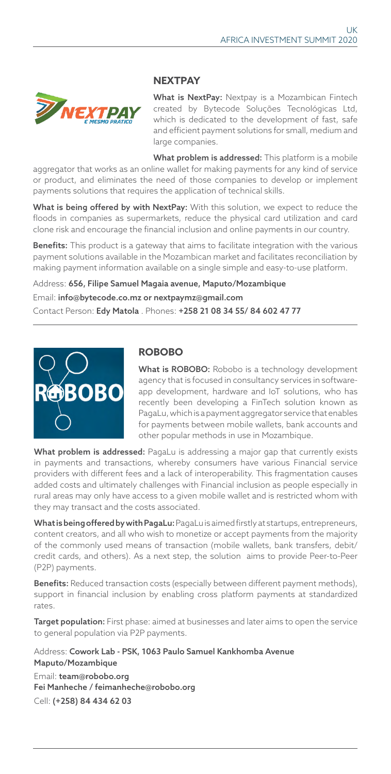

### **NEXTPAY**

What is NextPay: Nextpay is a Mozambican Fintech created by Bytecode Soluções Tecnológicas Ltd, which is dedicated to the development of fast, safe and efficient payment solutions for small, medium and large companies.

What problem is addressed: This platform is a mobile aggregator that works as an online wallet for making payments for any kind of service or product, and eliminates the need of those companies to develop or implement payments solutions that requires the application of technical skills.

What is being offered by with NextPay: With this solution, we expect to reduce the floods in companies as supermarkets, reduce the physical card utilization and card clone risk and encourage the financial inclusion and online payments in our country.

Benefits: This product is a gateway that aims to facilitate integration with the various payment solutions available in the Mozambican market and facilitates reconciliation by making payment information available on a single simple and easy-to-use platform.

Address: 656, Filipe Samuel Magaia avenue, Maputo/Mozambique Email: info@bytecode.co.mz or nextpaymz@gmail.com Contact Person: Edy Matola . Phones: +258 21 08 34 55/ 84 602 47 77



## **ROBOBO**

What is ROBOBO: Robobo is a technology development agency that is focused in consultancy services in softwareapp development, hardware and IoT solutions, who has recently been developing a FinTech solution known as PagaLu, which is a payment aggregator service that enables for payments between mobile wallets, bank accounts and other popular methods in use in Mozambique.

What problem is addressed: PagaLu is addressing a major gap that currently exists in payments and transactions, whereby consumers have various Financial service providers with different fees and a lack of interoperability. This fragmentation causes added costs and ultimately challenges with Financial inclusion as people especially in rural areas may only have access to a given mobile wallet and is restricted whom with they may transact and the costs associated.

What is being offered by with PagaLu: PagaLu is aimed firstly at startups, entrepreneurs, content creators, and all who wish to monetize or accept payments from the majority of the commonly used means of transaction (mobile wallets, bank transfers, debit/ credit cards, and others). As a next step, the solution aims to provide Peer-to-Peer (P2P) payments.

Benefits: Reduced transaction costs (especially between different payment methods), support in financial inclusion by enabling cross platform payments at standardized rates.

**Target population:** First phase: aimed at businesses and later aims to open the service to general population via P2P payments.

Address: Cowork Lab - PSK, 1063 Paulo Samuel Kankhomba Avenue Maputo/Mozambique Email: team@robobo.org

Fei Manheche / feimanheche@robobo.org Cell: (+258) 84 434 62 03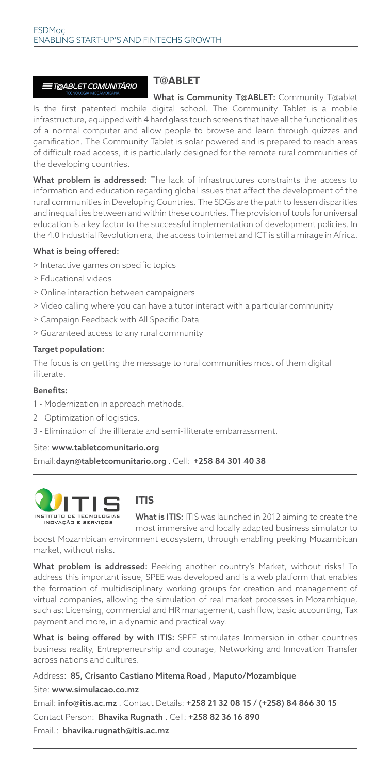#### ≣T@ABLET COMUNITÁRIO

#### **T@ABLET**

What is Community T@ABLET: Community T@ablet Is the first patented mobile digital school. The Community Tablet is a mobile infrastructure, equipped with 4 hard glass touch screens that have all the functionalities of a normal computer and allow people to browse and learn through quizzes and gamification. The Community Tablet is solar powered and is prepared to reach areas of difficult road access, it is particularly designed for the remote rural communities of the developing countries.

What problem is addressed: The lack of infrastructures constraints the access to information and education regarding global issues that affect the development of the rural communities in Developing Countries. The SDGs are the path to lessen disparities and inequalities between and within these countries. The provision of tools for universal education is a key factor to the successful implementation of development policies. In the 4.0 Industrial Revolution era, the access to internet and ICT is still a mirage in Africa.

#### What is being offered:

- > Interactive games on specific topics
- > Educational videos
- > Online interaction between campaigners
- > Video calling where you can have a tutor interact with a particular community
- > Campaign Feedback with All Specific Data
- > Guaranteed access to any rural community

#### Target population:

The focus is on getting the message to rural communities most of them digital illiterate.

#### Benefits:

- 1 Modernization in approach methods.
- 2 Optimization of logistics.
- 3 Elimination of the illiterate and semi-illiterate embarrassment.

#### Site: www.tabletcomunitario.org

Email:dayn@tabletcomunitario.org . Cell: +258 84 301 40 38



## **ITIS**

What is ITIS: ITIS was launched in 2012 aiming to create the most immersive and locally adapted business simulator to

boost Mozambican environment ecosystem, through enabling peeking Mozambican market, without risks.

What problem is addressed: Peeking another country's Market, without risks! To address this important issue, SPEE was developed and is a web platform that enables the formation of multidisciplinary working groups for creation and management of virtual companies, allowing the simulation of real market processes in Mozambique, such as: Licensing, commercial and HR management, cash flow, basic accounting, Tax payment and more, in a dynamic and practical way.

What is being offered by with ITIS: SPEE stimulates Immersion in other countries business reality, Entrepreneurship and courage, Networking and Innovation Transfer across nations and cultures.

Address: 85, Crisanto Castiano Mitema Road , Maputo/Mozambique

Site: www.simulacao.co.mz

Email: info@itis.ac.mz . Contact Details: +258 21 32 08 15 / (+258) 84 866 30 15 Contact Person: Bhavika Rugnath . Cell: +258 82 36 16 890 Email.: bhavika.rugnath@itis.ac.mz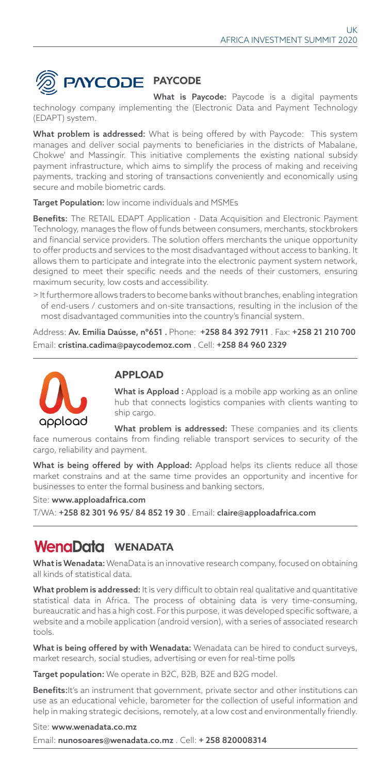

What is Paycode: Paycode is a digital payments technology company implementing the (Electronic Data and Payment Technology (EDAPT) system.

What problem is addressed: What is being offered by with Paycode: This system manages and deliver social payments to beneficiaries in the districts of Mabalane, Chokwe' and Massingir. This initiative complements the existing national subsidy payment infrastructure, which aims to simplify the process of making and receiving payments, tracking and storing of transactions conveniently and economically using secure and mobile biometric cards.

Target Population: low income individuals and MSMEs

Benefits: The RETAIL EDAPT Application - Data Acquisition and Electronic Payment Technology, manages the flow of funds between consumers, merchants, stockbrokers and financial service providers. The solution offers merchants the unique opportunity to offer products and services to the most disadvantaged without access to banking. It allows them to participate and integrate into the electronic payment system network, designed to meet their specific needs and the needs of their customers, ensuring maximum security, low costs and accessibility.

> It furthermore allows traders to become banks without branches, enabling integration of end-users / customers and on-site transactions, resulting in the inclusion of the most disadvantaged communities into the country's financial system.

Address: Av. Emilia Daússe, nº651 . Phone: +258 84 392 7911 . Fax: +258 21 210 700 Email: cristina.cadima@paycodemoz.com . Cell: +258 84 960 2329



## **APPLOAD**

What is Appload : Appload is a mobile app working as an online hub that connects logistics companies with clients wanting to ship cargo.

What problem is addressed: These companies and its clients face numerous contains from finding reliable transport services to security of the cargo, reliability and payment.

What is being offered by with Appload: Appload helps its clients reduce all those market constrains and at the same time provides an opportunity and incentive for businesses to enter the formal business and banking sectors.

Site: www.apploadafrica.com

T/WA: +258 82 301 96 95/ 84 852 19 30 . Email: claire@apploadafrica.com

## WenaData WENADATA

What is Wenadata: WenaData is an innovative research company, focused on obtaining all kinds of statistical data.

What problem is addressed: It is very difficult to obtain real qualitative and quantitative statistical data in Africa. The process of obtaining data is very time-consuming, bureaucratic and has a high cost. For this purpose, it was developed specific software, a website and a mobile application (android version), with a series of associated research tools.

What is being offered by with Wenadata: Wenadata can be hired to conduct surveys, market research, social studies, advertising or even for real-time polls

Target population: We operate in B2C, B2B, B2E and B2G model.

Benefits: It's an instrument that government, private sector and other institutions can use as an educational vehicle, barometer for the collection of useful information and help in making strategic decisions, remotely, at a low cost and environmentally friendly.

Site: www.wenadata.co.mz Email: nunosoares@wenadata.co.mz . Cell: + 258 820008314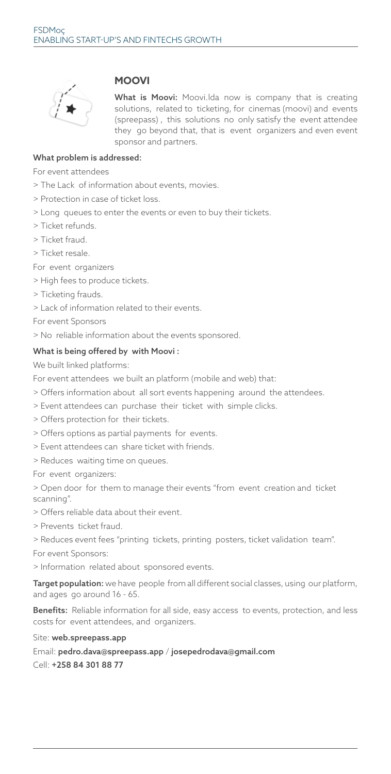

### **MOOVI**

What is Moovi: Moovi.Ida now is company that is creating solutions, related to ticketing, for cinemas (moovi) and events (spreepass) , this solutions no only satisfy the event attendee they go beyond that, that is event organizers and even event sponsor and partners.

#### What problem is addressed:

For event attendees

- > The Lack of information about events, movies.
- > Protection in case of ticket loss.
- > Long queues to enter the events or even to buy their tickets.
- > Ticket refunds.
- > Ticket fraud.
- > Ticket resale.

For event organizers

- > High fees to produce tickets.
- > Ticketing frauds.
- > Lack of information related to their events.

For event Sponsors

> No reliable information about the events sponsored.

#### What is being offered by with Moovi :

We built linked platforms:

For event attendees we built an platform (mobile and web) that:

- > Offers information about all sort events happening around the attendees.
- > Event attendees can purchase their ticket with simple clicks.
- > Offers protection for their tickets.
- > Offers options as partial payments for events.
- > Event attendees can share ticket with friends.
- > Reduces waiting time on queues.

For event organizers:

> Open door for them to manage their events "from event creation and ticket scanning".

> Offers reliable data about their event.

> Prevents ticket fraud.

> Reduces event fees "printing tickets, printing posters, ticket validation team".

For event Sponsors:

> Information related about sponsored events.

Target population: we have people from all different social classes, using our platform, and ages go around 16 - 65.

Benefits: Reliable information for all side, easy access to events, protection, and less costs for event attendees, and organizers.

#### Site: web.spreepass.app

Email: pedro.dava@spreepass.app / josepedrodava@gmail.com Cell: +258 84 301 88 77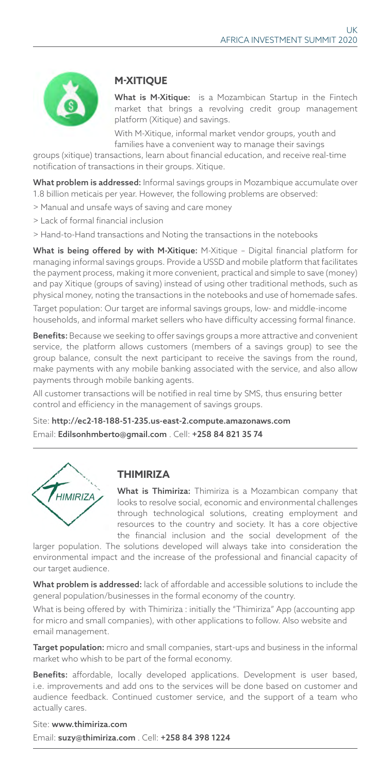

## **M-XITIQUE**

What is M-Xitique: is a Mozambican Startup in the Fintech market that brings a revolving credit group management platform (Xitique) and savings.

With M-Xitique, informal market vendor groups, youth and families have a convenient way to manage their savings

groups (xitique) transactions, learn about financial education, and receive real-time notification of transactions in their groups. Xitique.

What problem is addressed: Informal savings groups in Mozambique accumulate over 1.8 billion meticais per year. However, the following problems are observed:

- > Manual and unsafe ways of saving and care money
- > Lack of formal financial inclusion
- > Hand-to-Hand transactions and Noting the transactions in the notebooks

What is being offered by with M-Xitique: M-Xitique - Digital financial platform for managing informal savings groups. Provide a USSD and mobile platform that facilitates the payment process, making it more convenient, practical and simple to save (money) and pay Xitique (groups of saving) instead of using other traditional methods, such as physical money, noting the transactions in the notebooks and use of homemade safes.

Target population: Our target are informal savings groups, low- and middle-income households, and informal market sellers who have difficulty accessing formal finance.

Benefits: Because we seeking to offer savings groups a more attractive and convenient service, the platform allows customers (members of a savings group) to see the group balance, consult the next participant to receive the savings from the round, make payments with any mobile banking associated with the service, and also allow payments through mobile banking agents.

All customer transactions will be notified in real time by SMS, thus ensuring better control and efficiency in the management of savings groups.

Site: http://ec2-18-188-51-235.us-east-2.compute.amazonaws.com Email: Edilsonhmberto@gmail.com . Cell: +258 84 821 35 74



## **THIMIRIZA**

What is Thimiriza: Thimiriza is a Mozambican company that looks to resolve social, economic and environmental challenges through technological solutions, creating employment and resources to the country and society. It has a core objective the financial inclusion and the social development of the

larger population. The solutions developed will always take into consideration the environmental impact and the increase of the professional and financial capacity of our target audience.

What problem is addressed: lack of affordable and accessible solutions to include the general population/businesses in the formal economy of the country.

What is being offered by with Thimiriza : initially the "Thimiriza" App (accounting app for micro and small companies), with other applications to follow. Also website and email management.

Target population: micro and small companies, start-ups and business in the informal market who whish to be part of the formal economy.

Benefits: affordable, locally developed applications. Development is user based, i.e. improvements and add ons to the services will be done based on customer and audience feedback. Continued customer service, and the support of a team who actually cares.

Site: www.thimiriza.com Email: suzy@thimiriza.com . Cell: +258 84 398 1224